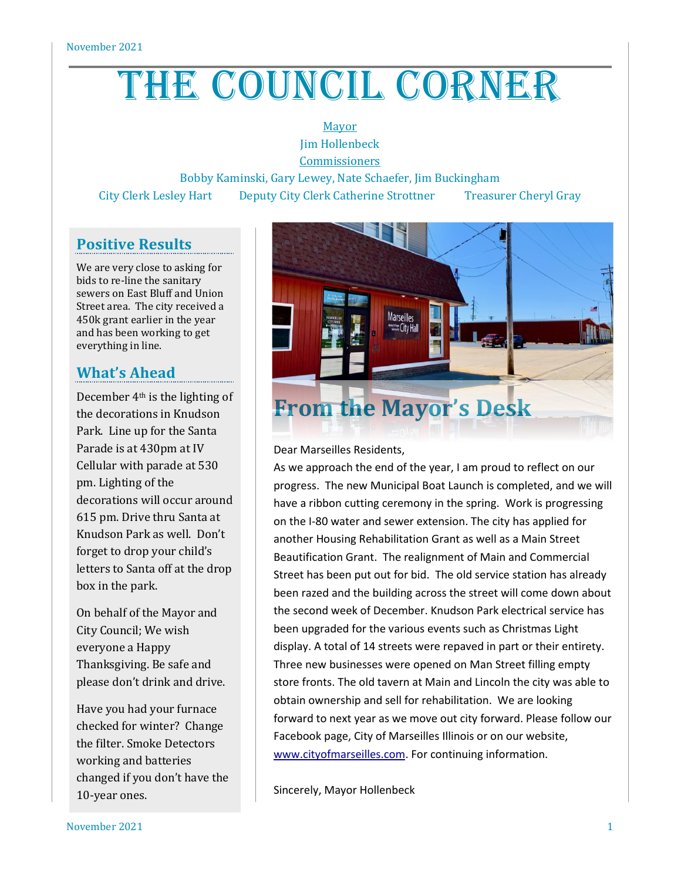# THE COUNCIL CORNER

### Mayor Jim Hollenbeck

**Commissioners** 

Bobby Kaminski, Gary Lewey, Nate Schaefer, Jim Buckingham

City Clerk Lesley Hart Deputy City Clerk Catherine Strottner Treasurer Cheryl Gray

## **Positive Results**

We are very close to asking for bids to re-line the sanitary sewers on East Bluff and Union Street area. The city received a 450k grant earlier in the year and has been working to get everything in line.

## **What's Ahead**

December 4th is the lighting of the decorations in Knudson Park. Line up for the Santa Parade is at 430pm at IV Cellular with parade at 530 pm. Lighting of the decorations will occur around 615 pm. Drive thru Santa at Knudson Park as well. Don't forget to drop your child's letters to Santa off at the drop box in the park.

On behalf of the Mayor and City Council; We wish everyone a Happy Thanksgiving. Be safe and please don't drink and drive.

Have you had your furnace checked for winter? Change the filter. Smoke Detectors working and batteries changed if you don't have the 10-year ones.



### Dear Marseilles Residents,

As we approach the end of the year, I am proud to reflect on our progress. The new Municipal Boat Launch is completed, and we will have a ribbon cutting ceremony in the spring. Work is progressing on the I-80 water and sewer extension. The city has applied for another Housing Rehabilitation Grant as well as a Main Street Beautification Grant. The realignment of Main and Commercial Street has been put out for bid. The old service station has already been razed and the building across the street will come down about the second week of December. Knudson Park electrical service has been upgraded for the various events such as Christmas Light display. A total of 14 streets were repaved in part or their entirety. Three new businesses were opened on Man Street filling empty store fronts. The old tavern at Main and Lincoln the city was able to obtain ownership and sell for rehabilitation. We are looking forward to next year as we move out city forward. Please follow our Facebook page, City of Marseilles Illinois or on our website, [www.cityofmarseilles.com.](http://www.cityofmarseilles.com/) For continuing information.

Sincerely, Mayor Hollenbeck